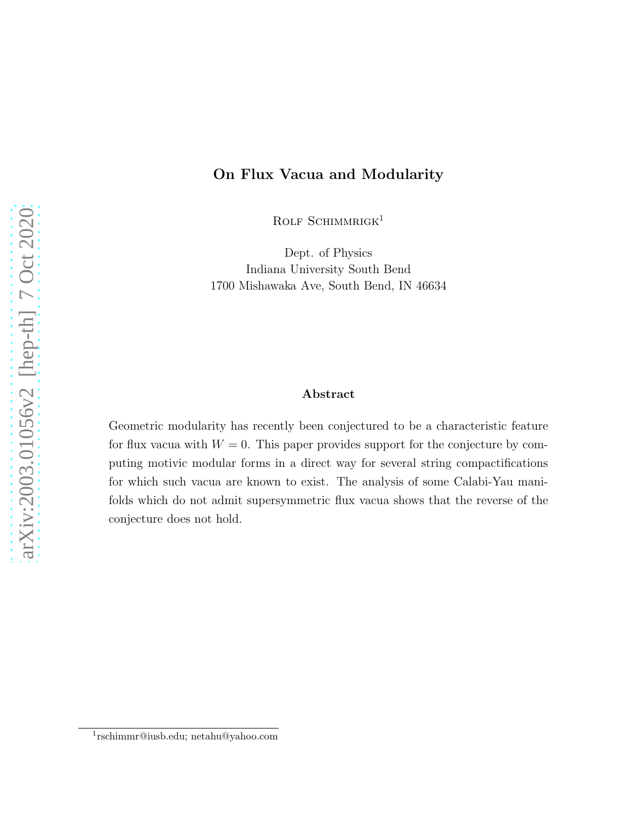#### On Flux Vacua and Modularity

ROLF SCHIMMRIGK<sup>1</sup>

Dept. of Physics Indiana University South Bend 1700 Mishawaka Ave, South Bend, IN 46634

#### Abstract

Geometric modularity has recently been conjectured to be a characteristic feature for flux vacua with  $W = 0$ . This paper provides support for the conjecture by computing motivic modular forms in a direct way for several string compactifications for which such vacua are known to exist. The analysis of some Calabi-Yau manifolds which do not admit supersymmetric flux vacua shows that the reverse of the conjecture does not hold.

<sup>1</sup> rschimmr@iusb.edu; netahu@yahoo.com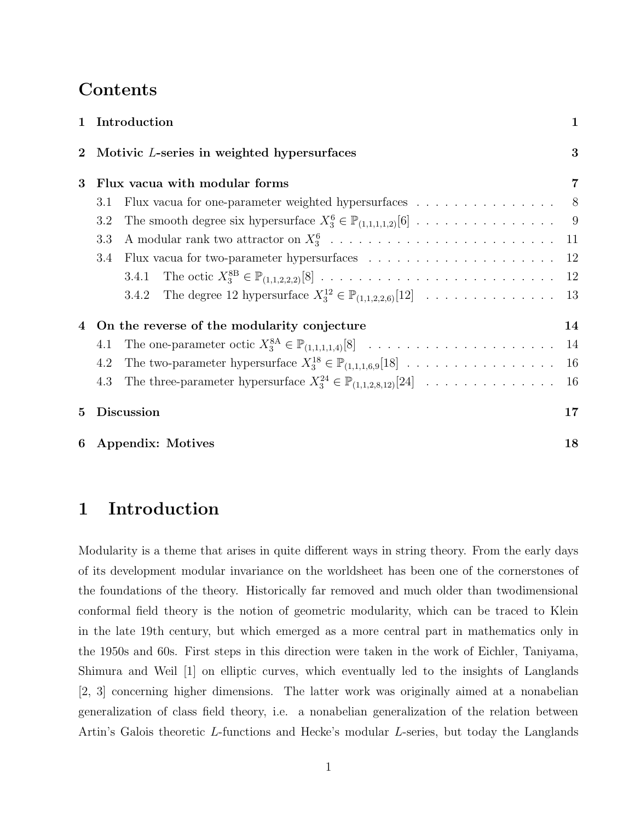## Contents

|          | 1 Introduction                                                                                  | $\mathbf 1$    |
|----------|-------------------------------------------------------------------------------------------------|----------------|
| $\bf{2}$ | Motivic L-series in weighted hypersurfaces                                                      | 3              |
| 3        | Flux vacua with modular forms                                                                   | 7              |
|          | Flux vacua for one-parameter weighted hypersurfaces $\ldots \ldots \ldots \ldots \ldots$<br>3.1 | 8 <sup>8</sup> |
|          | 3.2                                                                                             |                |
|          | 3.3                                                                                             |                |
|          | 3.4                                                                                             |                |
|          |                                                                                                 |                |
|          |                                                                                                 |                |
|          | On the reverse of the modularity conjecture                                                     | 14             |
|          | 4.1                                                                                             |                |
|          | 4.2                                                                                             | 16             |
|          | The three-parameter hypersurface $X_3^{24} \in \mathbb{P}_{(1,1,2,8,12)}[24]$<br>4.3            | 16             |
| 5.       | <b>Discussion</b>                                                                               | 17             |
| 6        | <b>Appendix: Motives</b>                                                                        | 18             |

## 1 Introduction

Modularity is a theme that arises in quite different ways in string theory. From the early days of its development modular invariance on the worldsheet has been one of the cornerstones of the foundations of the theory. Historically far removed and much older than twodimensional conformal field theory is the notion of geometric modularity, which can be traced to Klein in the late 19th century, but which emerged as a more central part in mathematics only in the 1950s and 60s. First steps in this direction were taken in the work of Eichler, Taniyama, Shimura and Weil [1] on elliptic curves, which eventually led to the insights of Langlands [2, 3] concerning higher dimensions. The latter work was originally aimed at a nonabelian generalization of class field theory, i.e. a nonabelian generalization of the relation between Artin's Galois theoretic L-functions and Hecke's modular L-series, but today the Langlands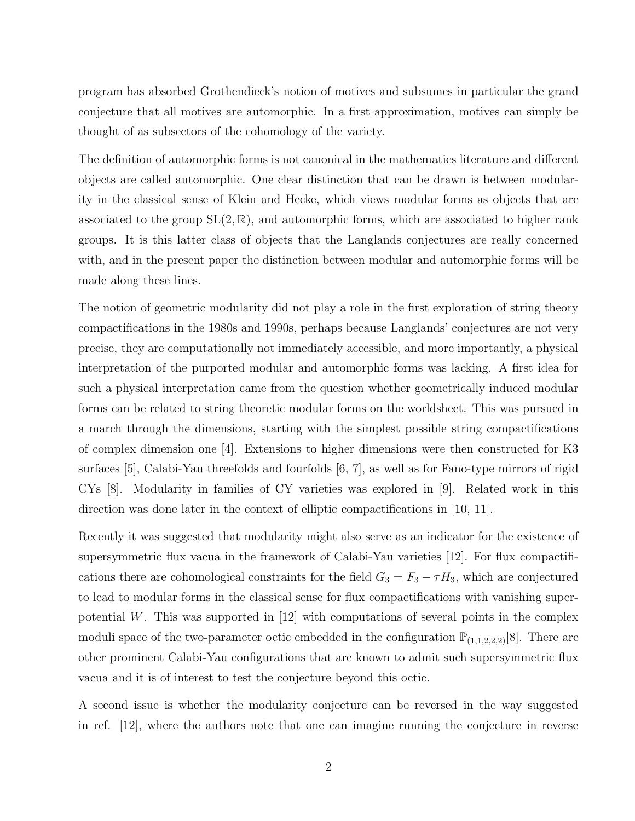program has absorbed Grothendieck's notion of motives and subsumes in particular the grand conjecture that all motives are automorphic. In a first approximation, motives can simply be thought of as subsectors of the cohomology of the variety.

The definition of automorphic forms is not canonical in the mathematics literature and different objects are called automorphic. One clear distinction that can be drawn is between modularity in the classical sense of Klein and Hecke, which views modular forms as objects that are associated to the group  $SL(2,\mathbb{R})$ , and automorphic forms, which are associated to higher rank groups. It is this latter class of objects that the Langlands conjectures are really concerned with, and in the present paper the distinction between modular and automorphic forms will be made along these lines.

The notion of geometric modularity did not play a role in the first exploration of string theory compactifications in the 1980s and 1990s, perhaps because Langlands' conjectures are not very precise, they are computationally not immediately accessible, and more importantly, a physical interpretation of the purported modular and automorphic forms was lacking. A first idea for such a physical interpretation came from the question whether geometrically induced modular forms can be related to string theoretic modular forms on the worldsheet. This was pursued in a march through the dimensions, starting with the simplest possible string compactifications of complex dimension one [4]. Extensions to higher dimensions were then constructed for K3 surfaces [5], Calabi-Yau threefolds and fourfolds [6, 7], as well as for Fano-type mirrors of rigid CYs [8]. Modularity in families of CY varieties was explored in [9]. Related work in this direction was done later in the context of elliptic compactifications in [10, 11].

Recently it was suggested that modularity might also serve as an indicator for the existence of supersymmetric flux vacua in the framework of Calabi-Yau varieties [12]. For flux compactifications there are cohomological constraints for the field  $G_3 = F_3 - \tau H_3$ , which are conjectured to lead to modular forms in the classical sense for flux compactifications with vanishing superpotential W. This was supported in  $[12]$  with computations of several points in the complex moduli space of the two-parameter octic embedded in the configuration  $\mathbb{P}_{(1,1,2,2,2)}[8]$ . There are other prominent Calabi-Yau configurations that are known to admit such supersymmetric flux vacua and it is of interest to test the conjecture beyond this octic.

A second issue is whether the modularity conjecture can be reversed in the way suggested in ref. [12], where the authors note that one can imagine running the conjecture in reverse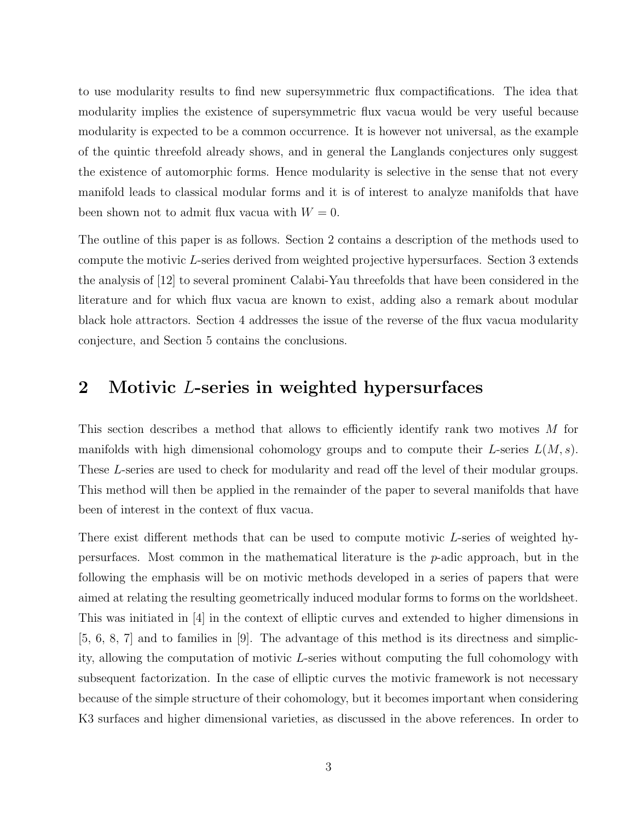to use modularity results to find new supersymmetric flux compactifications. The idea that modularity implies the existence of supersymmetric flux vacua would be very useful because modularity is expected to be a common occurrence. It is however not universal, as the example of the quintic threefold already shows, and in general the Langlands conjectures only suggest the existence of automorphic forms. Hence modularity is selective in the sense that not every manifold leads to classical modular forms and it is of interest to analyze manifolds that have been shown not to admit flux vacua with  $W = 0$ .

The outline of this paper is as follows. Section 2 contains a description of the methods used to compute the motivic L-series derived from weighted projective hypersurfaces. Section 3 extends the analysis of [12] to several prominent Calabi-Yau threefolds that have been considered in the literature and for which flux vacua are known to exist, adding also a remark about modular black hole attractors. Section 4 addresses the issue of the reverse of the flux vacua modularity conjecture, and Section 5 contains the conclusions.

### 2 Motivic L-series in weighted hypersurfaces

This section describes a method that allows to efficiently identify rank two motives M for manifolds with high dimensional cohomology groups and to compute their L-series  $L(M, s)$ . These L-series are used to check for modularity and read off the level of their modular groups. This method will then be applied in the remainder of the paper to several manifolds that have been of interest in the context of flux vacua.

There exist different methods that can be used to compute motivic L-series of weighted hypersurfaces. Most common in the mathematical literature is the  $p$ -adic approach, but in the following the emphasis will be on motivic methods developed in a series of papers that were aimed at relating the resulting geometrically induced modular forms to forms on the worldsheet. This was initiated in [4] in the context of elliptic curves and extended to higher dimensions in [5, 6, 8, 7] and to families in [9]. The advantage of this method is its directness and simplicity, allowing the computation of motivic L-series without computing the full cohomology with subsequent factorization. In the case of elliptic curves the motivic framework is not necessary because of the simple structure of their cohomology, but it becomes important when considering K3 surfaces and higher dimensional varieties, as discussed in the above references. In order to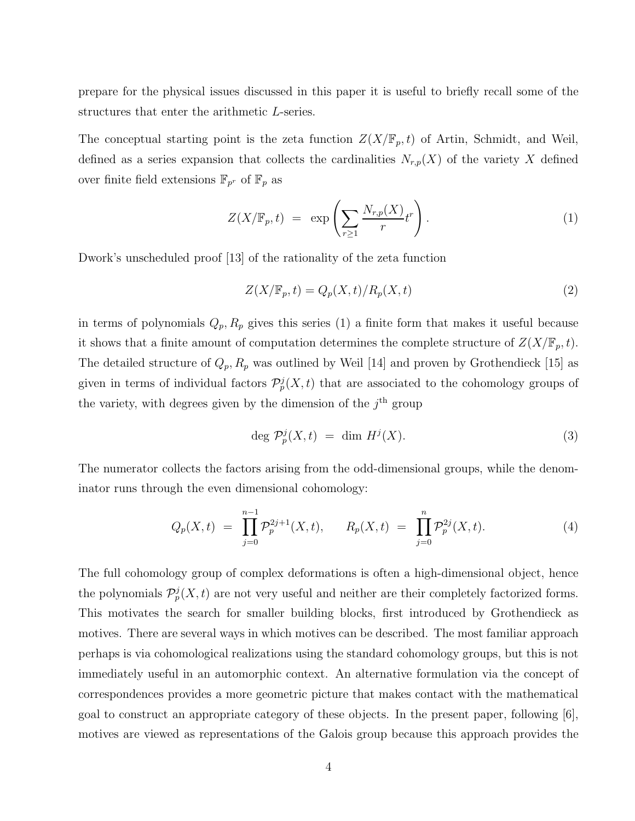prepare for the physical issues discussed in this paper it is useful to briefly recall some of the structures that enter the arithmetic L-series.

The conceptual starting point is the zeta function  $Z(X/\mathbb{F}_p,t)$  of Artin, Schmidt, and Weil, defined as a series expansion that collects the cardinalities  $N_{r,p}(X)$  of the variety X defined over finite field extensions  $\mathbb{F}_{p^r}$  of  $\mathbb{F}_p$  as

$$
Z(X/\mathbb{F}_p, t) = \exp\left(\sum_{r\geq 1} \frac{N_{r,p}(X)}{r} t^r\right).
$$
 (1)

Dwork's unscheduled proof [13] of the rationality of the zeta function

$$
Z(X/\mathbb{F}_p, t) = Q_p(X, t) / R_p(X, t)
$$
\n<sup>(2)</sup>

in terms of polynomials  $Q_p$ ,  $R_p$  gives this series (1) a finite form that makes it useful because it shows that a finite amount of computation determines the complete structure of  $Z(X/\mathbb{F}_p, t)$ . The detailed structure of  $Q_p$ ,  $R_p$  was outlined by Weil [14] and proven by Grothendieck [15] as given in terms of individual factors  $\mathcal{P}_p^j(X,t)$  that are associated to the cohomology groups of the variety, with degrees given by the dimension of the  $j<sup>th</sup>$  group

$$
\deg \mathcal{P}_p^j(X,t) = \dim H^j(X). \tag{3}
$$

The numerator collects the factors arising from the odd-dimensional groups, while the denominator runs through the even dimensional cohomology:

$$
Q_p(X,t) = \prod_{j=0}^{n-1} \mathcal{P}_p^{2j+1}(X,t), \qquad R_p(X,t) = \prod_{j=0}^n \mathcal{P}_p^{2j}(X,t). \tag{4}
$$

The full cohomology group of complex deformations is often a high-dimensional object, hence the polynomials  $\mathcal{P}_p^j(X,t)$  are not very useful and neither are their completely factorized forms. This motivates the search for smaller building blocks, first introduced by Grothendieck as motives. There are several ways in which motives can be described. The most familiar approach perhaps is via cohomological realizations using the standard cohomology groups, but this is not immediately useful in an automorphic context. An alternative formulation via the concept of correspondences provides a more geometric picture that makes contact with the mathematical goal to construct an appropriate category of these objects. In the present paper, following [6], motives are viewed as representations of the Galois group because this approach provides the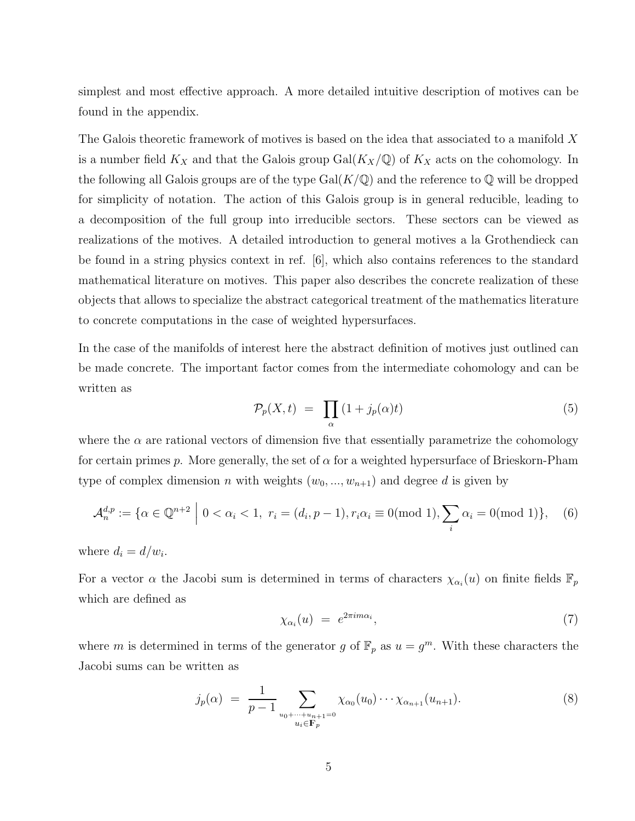simplest and most effective approach. A more detailed intuitive description of motives can be found in the appendix.

The Galois theoretic framework of motives is based on the idea that associated to a manifold X is a number field  $K_X$  and that the Galois group  $Gal(K_X(\mathbb{Q}))$  of  $K_X$  acts on the cohomology. In the following all Galois groups are of the type  $Gal(K/\mathbb{Q})$  and the reference to  $\mathbb Q$  will be dropped for simplicity of notation. The action of this Galois group is in general reducible, leading to a decomposition of the full group into irreducible sectors. These sectors can be viewed as realizations of the motives. A detailed introduction to general motives a la Grothendieck can be found in a string physics context in ref. [6], which also contains references to the standard mathematical literature on motives. This paper also describes the concrete realization of these objects that allows to specialize the abstract categorical treatment of the mathematics literature to concrete computations in the case of weighted hypersurfaces.

In the case of the manifolds of interest here the abstract definition of motives just outlined can be made concrete. The important factor comes from the intermediate cohomology and can be written as

$$
\mathcal{P}_p(X,t) = \prod_{\alpha} \left(1 + j_p(\alpha)t\right) \tag{5}
$$

where the  $\alpha$  are rational vectors of dimension five that essentially parametrize the cohomology for certain primes p. More generally, the set of  $\alpha$  for a weighted hypersurface of Brieskorn-Pham type of complex dimension n with weights  $(w_0, ..., w_{n+1})$  and degree d is given by

$$
\mathcal{A}_n^{d,p} := \{ \alpha \in \mathbb{Q}^{n+2} \mid 0 < \alpha_i < 1, \ r_i = (d_i, p-1), r_i \alpha_i \equiv 0 \pmod{1}, \sum_i \alpha_i = 0 \pmod{1} \}, \tag{6}
$$

where  $d_i = d/w_i$ .

For a vector  $\alpha$  the Jacobi sum is determined in terms of characters  $\chi_{\alpha_i}(u)$  on finite fields  $\mathbb{F}_p$ which are defined as

$$
\chi_{\alpha_i}(u) = e^{2\pi i m \alpha_i},\tag{7}
$$

where m is determined in terms of the generator g of  $\mathbb{F}_p$  as  $u = g^m$ . With these characters the Jacobi sums can be written as

$$
j_p(\alpha) = \frac{1}{p-1} \sum_{\substack{u_0 + \dots + u_{n+1} = 0 \\ u_i \in \mathbf{F}_p}} \chi_{\alpha_0}(u_0) \dotsm \chi_{\alpha_{n+1}}(u_{n+1}). \tag{8}
$$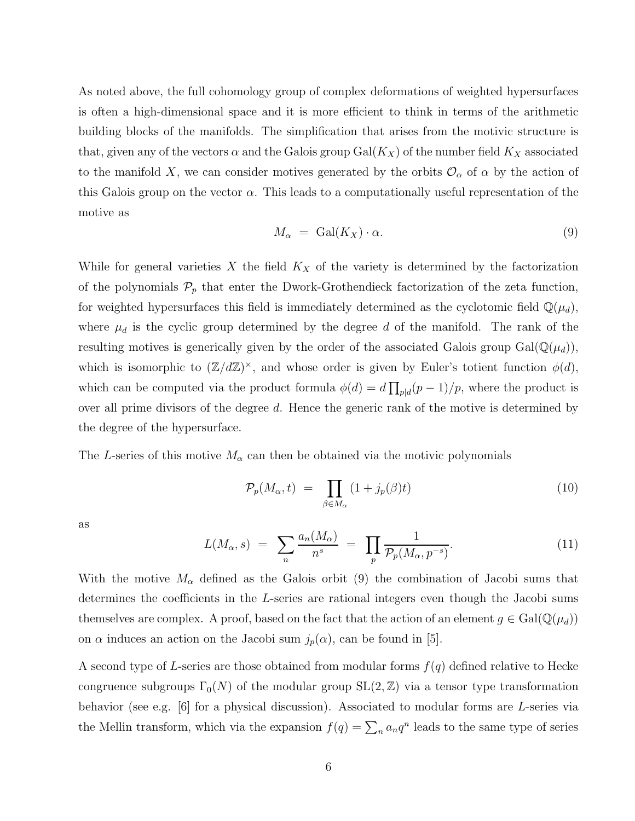As noted above, the full cohomology group of complex deformations of weighted hypersurfaces is often a high-dimensional space and it is more efficient to think in terms of the arithmetic building blocks of the manifolds. The simplification that arises from the motivic structure is that, given any of the vectors  $\alpha$  and the Galois group Gal( $K_X$ ) of the number field  $K_X$  associated to the manifold X, we can consider motives generated by the orbits  $\mathcal{O}_{\alpha}$  of  $\alpha$  by the action of this Galois group on the vector  $\alpha$ . This leads to a computationally useful representation of the motive as

$$
M_{\alpha} = \text{Gal}(K_X) \cdot \alpha. \tag{9}
$$

While for general varieties X the field  $K_X$  of the variety is determined by the factorization of the polynomials  $\mathcal{P}_p$  that enter the Dwork-Grothendieck factorization of the zeta function, for weighted hypersurfaces this field is immediately determined as the cyclotomic field  $\mathbb{Q}(\mu_d)$ , where  $\mu_d$  is the cyclic group determined by the degree d of the manifold. The rank of the resulting motives is generically given by the order of the associated Galois group  $Gal(\mathbb{Q}(\mu_d)),$ which is isomorphic to  $(\mathbb{Z}/d\mathbb{Z})^{\times}$ , and whose order is given by Euler's totient function  $\phi(d)$ , which can be computed via the product formula  $\phi(d) = d \prod_{p \mid d} (p-1)/p$ , where the product is over all prime divisors of the degree d. Hence the generic rank of the motive is determined by the degree of the hypersurface.

The L-series of this motive  $M_{\alpha}$  can then be obtained via the motivic polynomials

$$
\mathcal{P}_p(M_\alpha, t) = \prod_{\beta \in M_\alpha} (1 + j_p(\beta)t) \tag{10}
$$

as

$$
L(M_{\alpha}, s) = \sum_{n} \frac{a_n(M_{\alpha})}{n^s} = \prod_{p} \frac{1}{\mathcal{P}_p(M_{\alpha}, p^{-s})}.
$$
 (11)

With the motive  $M_{\alpha}$  defined as the Galois orbit (9) the combination of Jacobi sums that determines the coefficients in the L-series are rational integers even though the Jacobi sums themselves are complex. A proof, based on the fact that the action of an element  $g \in Gal(\mathbb{Q}(\mu_d))$ on  $\alpha$  induces an action on the Jacobi sum  $j_p(\alpha)$ , can be found in [5].

A second type of L-series are those obtained from modular forms  $f(q)$  defined relative to Hecke congruence subgroups  $\Gamma_0(N)$  of the modular group  $SL(2, \mathbb{Z})$  via a tensor type transformation behavior (see e.g.  $[6]$  for a physical discussion). Associated to modular forms are L-series via the Mellin transform, which via the expansion  $f(q) = \sum_n a_n q^n$  leads to the same type of series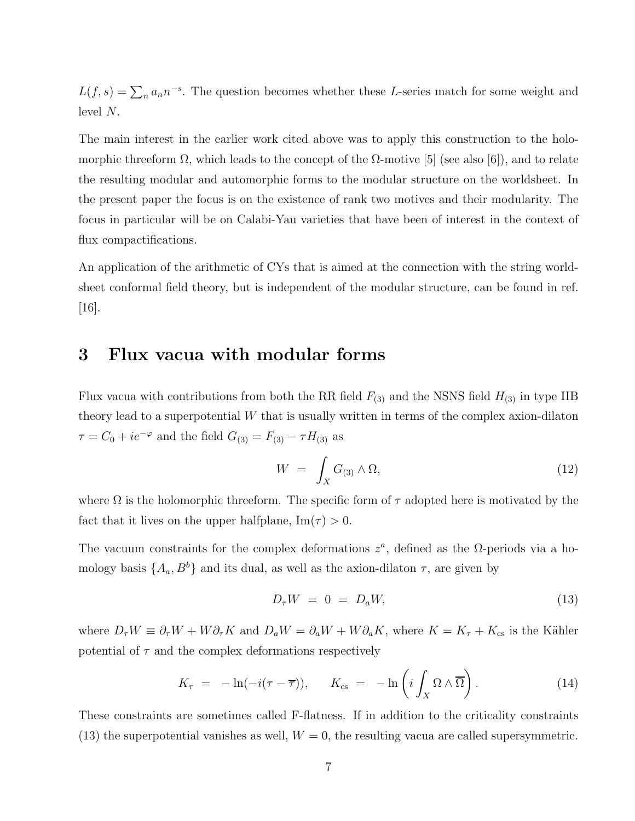$L(f, s) = \sum_n a_n n^{-s}$ . The question becomes whether these L-series match for some weight and level N.

The main interest in the earlier work cited above was to apply this construction to the holomorphic threeform  $\Omega$ , which leads to the concept of the  $\Omega$ -motive [5] (see also [6]), and to relate the resulting modular and automorphic forms to the modular structure on the worldsheet. In the present paper the focus is on the existence of rank two motives and their modularity. The focus in particular will be on Calabi-Yau varieties that have been of interest in the context of flux compactifications.

An application of the arithmetic of CYs that is aimed at the connection with the string worldsheet conformal field theory, but is independent of the modular structure, can be found in ref. [16].

### 3 Flux vacua with modular forms

Flux vacua with contributions from both the RR field  $F_{(3)}$  and the NSNS field  $H_{(3)}$  in type IIB theory lead to a superpotential  $W$  that is usually written in terms of the complex axion-dilaton  $\tau = C_0 + ie^{-\varphi}$  and the field  $G_{(3)} = F_{(3)} - \tau H_{(3)}$  as

$$
W = \int_X G_{(3)} \wedge \Omega, \tag{12}
$$

where  $\Omega$  is the holomorphic threeform. The specific form of  $\tau$  adopted here is motivated by the fact that it lives on the upper halfplane,  $\text{Im}(\tau) > 0$ .

The vacuum constraints for the complex deformations  $z^a$ , defined as the  $\Omega$ -periods via a homology basis  $\{A_a, B^b\}$  and its dual, as well as the axion-dilaton  $\tau$ , are given by

$$
D_{\tau}W = 0 = D_aW,\t\t(13)
$$

where  $D_{\tau}W \equiv \partial_{\tau}W + W\partial_{\tau}K$  and  $D_aW = \partial_aW + W\partial_aK$ , where  $K = K_{\tau} + K_{cs}$  is the Kähler potential of  $\tau$  and the complex deformations respectively

$$
K_{\tau} = -\ln(-i(\tau - \overline{\tau})), \qquad K_{\text{cs}} = -\ln\left(i\int_{X} \Omega \wedge \overline{\Omega}\right). \tag{14}
$$

These constraints are sometimes called F-flatness. If in addition to the criticality constraints (13) the superpotential vanishes as well,  $W = 0$ , the resulting vacua are called supersymmetric.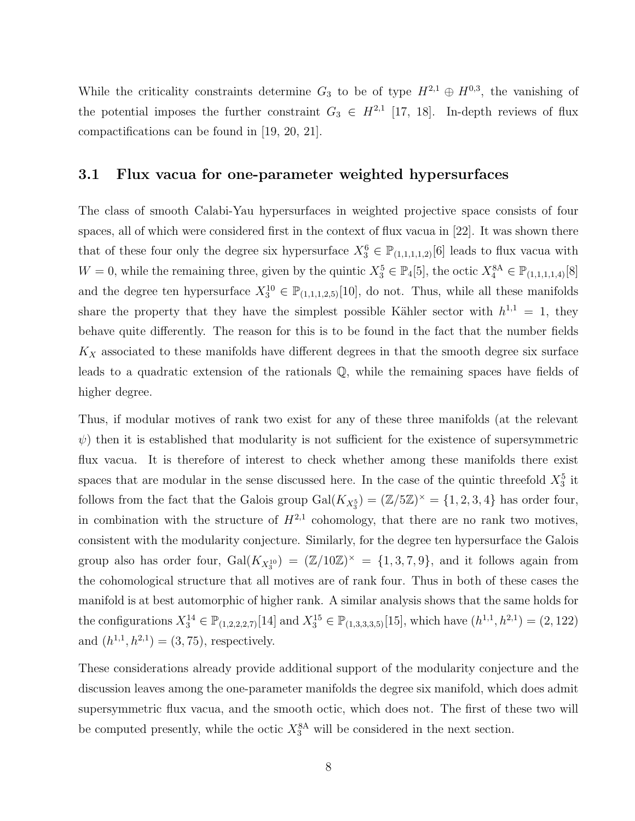While the criticality constraints determine  $G_3$  to be of type  $H^{2,1} \oplus H^{0,3}$ , the vanishing of the potential imposes the further constraint  $G_3 \in H^{2,1}$  [17, 18]. In-depth reviews of flux compactifications can be found in [19, 20, 21].

#### 3.1 Flux vacua for one-parameter weighted hypersurfaces

The class of smooth Calabi-Yau hypersurfaces in weighted projective space consists of four spaces, all of which were considered first in the context of flux vacua in [22]. It was shown there that of these four only the degree six hypersurface  $X_3^6 \in \mathbb{P}_{(1,1,1,1,2)}[6]$  leads to flux vacua with  $W = 0$ , while the remaining three, given by the quintic  $X_3^5 \in \mathbb{P}_4[5]$ , the octic  $X_4^{8A} \in \mathbb{P}_{(1,1,1,1,4)}[8]$ and the degree ten hypersurface  $X_3^{10} \in \mathbb{P}_{(1,1,1,2,5)}[10]$ , do not. Thus, while all these manifolds share the property that they have the simplest possible Kähler sector with  $h^{1,1} = 1$ , they behave quite differently. The reason for this is to be found in the fact that the number fields  $K_X$  associated to these manifolds have different degrees in that the smooth degree six surface leads to a quadratic extension of the rationals Q, while the remaining spaces have fields of higher degree.

Thus, if modular motives of rank two exist for any of these three manifolds (at the relevant  $\psi$ ) then it is established that modularity is not sufficient for the existence of supersymmetric flux vacua. It is therefore of interest to check whether among these manifolds there exist spaces that are modular in the sense discussed here. In the case of the quintic threefold  $X_3^5$  it follows from the fact that the Galois group  $Gal(K_{X_3^5}) = (\mathbb{Z}/5\mathbb{Z})^{\times} = \{1, 2, 3, 4\}$  has order four, in combination with the structure of  $H^{2,1}$  cohomology, that there are no rank two motives, consistent with the modularity conjecture. Similarly, for the degree ten hypersurface the Galois group also has order four,  $Gal(K_{X_3^{10}}) = (\mathbb{Z}/10\mathbb{Z})^{\times} = \{1,3,7,9\}$ , and it follows again from the cohomological structure that all motives are of rank four. Thus in both of these cases the manifold is at best automorphic of higher rank. A similar analysis shows that the same holds for the configurations  $X_3^{14} \in \mathbb{P}_{(1,2,2,2,7)}[14]$  and  $X_3^{15} \in \mathbb{P}_{(1,3,3,3,5)}[15]$ , which have  $(h^{1,1}, h^{2,1}) = (2, 122)$ and  $(h^{1,1}, h^{2,1}) = (3, 75)$ , respectively.

These considerations already provide additional support of the modularity conjecture and the discussion leaves among the one-parameter manifolds the degree six manifold, which does admit supersymmetric flux vacua, and the smooth octic, which does not. The first of these two will be computed presently, while the octic  $X_3^{\text{8A}}$  will be considered in the next section.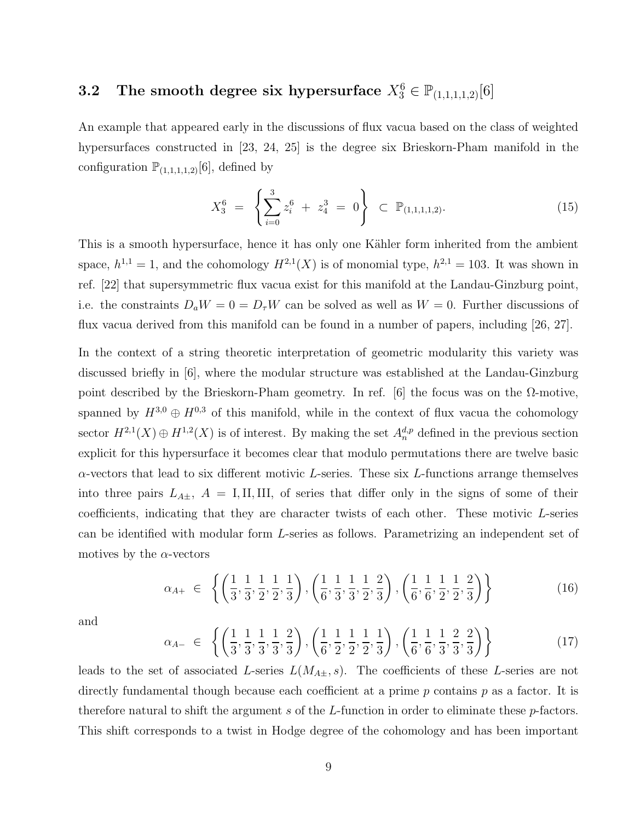# **3.2** The smooth degree six hypersurface  $X_3^6 \in \mathbb{P}_{(1,1,1,1,2)}[6]$

An example that appeared early in the discussions of flux vacua based on the class of weighted hypersurfaces constructed in [23, 24, 25] is the degree six Brieskorn-Pham manifold in the configuration  $\mathbb{P}_{(1,1,1,1,2)}[6]$ , defined by

$$
X_3^6 = \left\{ \sum_{i=0}^3 z_i^6 + z_4^3 = 0 \right\} \subset \mathbb{P}_{(1,1,1,1,2)}.
$$
 (15)

This is a smooth hypersurface, hence it has only one Kähler form inherited from the ambient space,  $h^{1,1} = 1$ , and the cohomology  $H^{2,1}(X)$  is of monomial type,  $h^{2,1} = 103$ . It was shown in ref. [22] that supersymmetric flux vacua exist for this manifold at the Landau-Ginzburg point, i.e. the constraints  $D_aW = 0 = D_{\tau}W$  can be solved as well as  $W = 0$ . Further discussions of flux vacua derived from this manifold can be found in a number of papers, including [26, 27].

In the context of a string theoretic interpretation of geometric modularity this variety was discussed briefly in [6], where the modular structure was established at the Landau-Ginzburg point described by the Brieskorn-Pham geometry. In ref. [6] the focus was on the  $\Omega$ -motive, spanned by  $H^{3,0} \oplus H^{0,3}$  of this manifold, while in the context of flux vacua the cohomology sector  $H^{2,1}(X) \oplus H^{1,2}(X)$  is of interest. By making the set  $A_n^{d,p}$  defined in the previous section explicit for this hypersurface it becomes clear that modulo permutations there are twelve basic  $\alpha$ -vectors that lead to six different motivic L-series. These six L-functions arrange themselves into three pairs  $L_{A\pm}$ ,  $A = I, II, III,$  of series that differ only in the signs of some of their coefficients, indicating that they are character twists of each other. These motivic L-series can be identified with modular form L-series as follows. Parametrizing an independent set of motives by the  $\alpha$ -vectors

$$
\alpha_{A+} \in \left\{ \left( \frac{1}{3}, \frac{1}{3}, \frac{1}{2}, \frac{1}{2}, \frac{1}{3} \right), \left( \frac{1}{6}, \frac{1}{3}, \frac{1}{3}, \frac{1}{2}, \frac{2}{3} \right), \left( \frac{1}{6}, \frac{1}{6}, \frac{1}{2}, \frac{1}{2}, \frac{2}{3} \right) \right\}
$$
(16)

and

$$
\alpha_{A-} \in \left\{ \left( \frac{1}{3}, \frac{1}{3}, \frac{1}{3}, \frac{1}{3}, \frac{2}{3} \right), \left( \frac{1}{6}, \frac{1}{2}, \frac{1}{2}, \frac{1}{2}, \frac{1}{3} \right), \left( \frac{1}{6}, \frac{1}{6}, \frac{1}{3}, \frac{2}{3}, \frac{2}{3} \right) \right\}
$$
(17)

leads to the set of associated L-series  $L(M_{A\pm}, s)$ . The coefficients of these L-series are not directly fundamental though because each coefficient at a prime  $p$  contains  $p$  as a factor. It is therefore natural to shift the argument s of the L-function in order to eliminate these  $p$ -factors. This shift corresponds to a twist in Hodge degree of the cohomology and has been important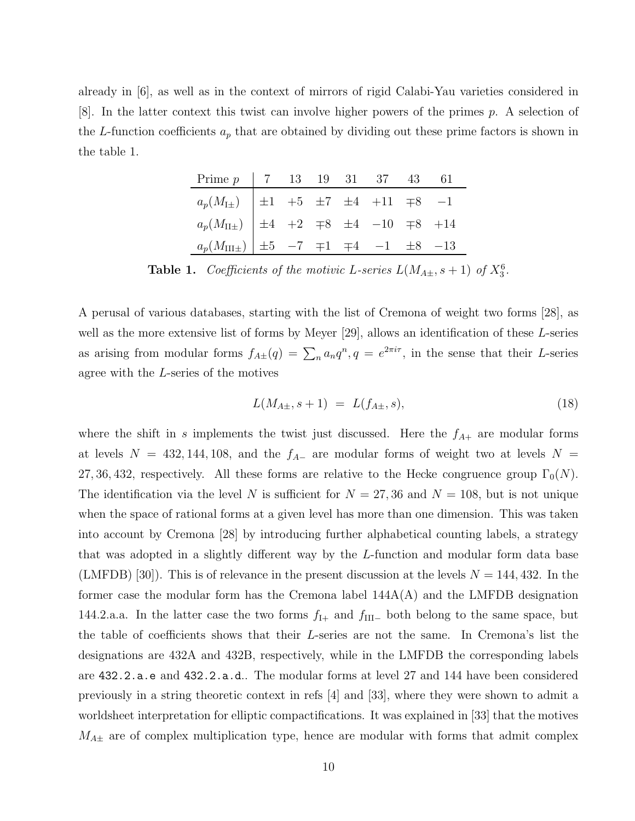already in [6], as well as in the context of mirrors of rigid Calabi-Yau varieties considered in  $[8]$ . In the latter context this twist can involve higher powers of the primes p. A selection of the L-function coefficients  $a_p$  that are obtained by dividing out these prime factors is shown in the table 1.

| Prime $p$   7 13 19 31 37 43 61                                                                                                                                                      |  |  |  |  |
|--------------------------------------------------------------------------------------------------------------------------------------------------------------------------------------|--|--|--|--|
| $\begin{array}{c cccccc} a_p(M_{\text{I}\pm}) & \pm 1 & +5 & \pm 7 & \pm 4 & +11 & \mp 8 & -1 \\ a_p(M_{\text{II}\pm}) & \pm 4 & +2 & \mp 8 & \pm 4 & -10 & \mp 8 & +14 \end{array}$ |  |  |  |  |
|                                                                                                                                                                                      |  |  |  |  |
| $a_p(M_{\text{III}\pm})$ $\pm 5$ -7 $\mp 1$ $\mp 4$ -1 $\pm 8$ -13                                                                                                                   |  |  |  |  |

**Table 1.** Coefficients of the motivic L-series  $L(M_{A\pm}, s+1)$  of  $X_3^6$ .

A perusal of various databases, starting with the list of Cremona of weight two forms [28], as well as the more extensive list of forms by Meyer [29], allows an identification of these L-series as arising from modular forms  $f_{A\pm}(q) = \sum_n a_n q^n$ ,  $q = e^{2\pi i \tau}$ , in the sense that their L-series agree with the L-series of the motives

$$
L(M_{A\pm}, s+1) = L(f_{A\pm}, s), \tag{18}
$$

where the shift in s implements the twist just discussed. Here the  $f_{A+}$  are modular forms at levels  $N = 432, 144, 108,$  and the  $f_{A-}$  are modular forms of weight two at levels  $N =$ 27, 36, 432, respectively. All these forms are relative to the Hecke congruence group  $\Gamma_0(N)$ . The identification via the level N is sufficient for  $N = 27,36$  and  $N = 108$ , but is not unique when the space of rational forms at a given level has more than one dimension. This was taken into account by Cremona [28] by introducing further alphabetical counting labels, a strategy that was adopted in a slightly different way by the L-function and modular form data base (LMFDB) [30]). This is of relevance in the present discussion at the levels  $N = 144, 432$ . In the former case the modular form has the Cremona label 144A(A) and the LMFDB designation 144.2.a.a. In the latter case the two forms  $f_{\text{I+}}$  and  $f_{\text{III-}}$  both belong to the same space, but the table of coefficients shows that their L-series are not the same. In Cremona's list the designations are 432A and 432B, respectively, while in the LMFDB the corresponding labels are 432.2.a.e and 432.2.a.d.. The modular forms at level 27 and 144 have been considered previously in a string theoretic context in refs [4] and [33], where they were shown to admit a worldsheet interpretation for elliptic compactifications. It was explained in [33] that the motives  $M_{A\pm}$  are of complex multiplication type, hence are modular with forms that admit complex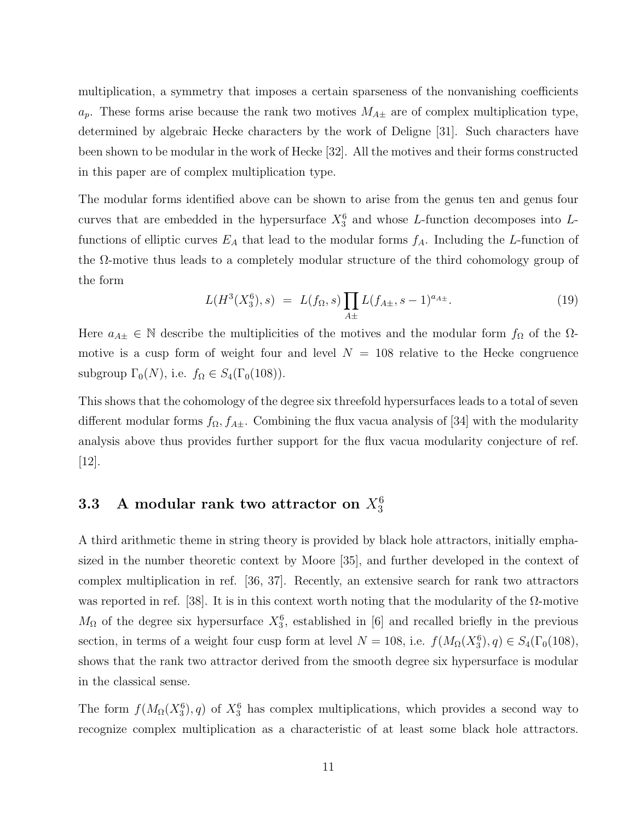multiplication, a symmetry that imposes a certain sparseness of the nonvanishing coefficients  $a_p$ . These forms arise because the rank two motives  $M_{A\pm}$  are of complex multiplication type, determined by algebraic Hecke characters by the work of Deligne [31]. Such characters have been shown to be modular in the work of Hecke [32]. All the motives and their forms constructed in this paper are of complex multiplication type.

The modular forms identified above can be shown to arise from the genus ten and genus four curves that are embedded in the hypersurface  $X_3^6$  and whose L-function decomposes into Lfunctions of elliptic curves  $E_A$  that lead to the modular forms  $f_A$ . Including the L-function of the Ω-motive thus leads to a completely modular structure of the third cohomology group of the form

$$
L(H^{3}(X_3^6), s) = L(f_{\Omega}, s) \prod_{A \pm} L(f_{A \pm}, s - 1)^{a_{A \pm}}.
$$
 (19)

Here  $a_{A\pm} \in \mathbb{N}$  describe the multiplicities of the motives and the modular form  $f_{\Omega}$  of the  $\Omega$ motive is a cusp form of weight four and level  $N = 108$  relative to the Hecke congruence subgroup  $\Gamma_0(N)$ , i.e.  $f_{\Omega} \in S_4(\Gamma_0(108))$ .

This shows that the cohomology of the degree six threefold hypersurfaces leads to a total of seven different modular forms  $f_{\Omega}, f_{A\pm}$ . Combining the flux vacua analysis of [34] with the modularity analysis above thus provides further support for the flux vacua modularity conjecture of ref. [12].

## $\mathbf{3.3} \quad \textbf{A} \text{ modular rank two attractor on } X_3^6$

A third arithmetic theme in string theory is provided by black hole attractors, initially emphasized in the number theoretic context by Moore [35], and further developed in the context of complex multiplication in ref. [36, 37]. Recently, an extensive search for rank two attractors was reported in ref. [38]. It is in this context worth noting that the modularity of the  $\Omega$ -motive  $M_{\Omega}$  of the degree six hypersurface  $X_3^6$ , established in [6] and recalled briefly in the previous section, in terms of a weight four cusp form at level  $N = 108$ , i.e.  $f(M_{\Omega}(X_3^6), q) \in S_4(\Gamma_0(108))$ , shows that the rank two attractor derived from the smooth degree six hypersurface is modular in the classical sense.

The form  $f(M_{\Omega}(X_3^6), q)$  of  $X_3^6$  has complex multiplications, which provides a second way to recognize complex multiplication as a characteristic of at least some black hole attractors.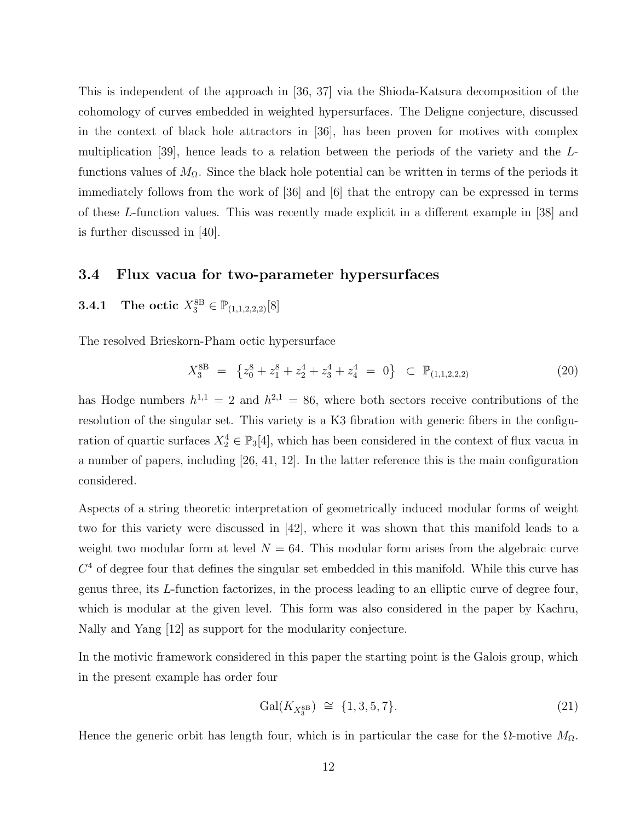This is independent of the approach in [36, 37] via the Shioda-Katsura decomposition of the cohomology of curves embedded in weighted hypersurfaces. The Deligne conjecture, discussed in the context of black hole attractors in [36], has been proven for motives with complex multiplication [39], hence leads to a relation between the periods of the variety and the Lfunctions values of  $M_{\Omega}$ . Since the black hole potential can be written in terms of the periods it immediately follows from the work of [36] and [6] that the entropy can be expressed in terms of these L-function values. This was recently made explicit in a different example in [38] and is further discussed in [40].

#### 3.4 Flux vacua for two-parameter hypersurfaces

**3.4.1** The octic  $X_3^{\text{8B}} \in \mathbb{P}_{(1,1,2,2,2)}[8]$ 

The resolved Brieskorn-Pham octic hypersurface

$$
X_3^{8B} = \left\{ z_0^8 + z_1^8 + z_2^4 + z_3^4 + z_4^4 = 0 \right\} \subset \mathbb{P}_{(1,1,2,2,2)} \tag{20}
$$

has Hodge numbers  $h^{1,1} = 2$  and  $h^{2,1} = 86$ , where both sectors receive contributions of the resolution of the singular set. This variety is a K3 fibration with generic fibers in the configuration of quartic surfaces  $X_2^4 \in \mathbb{P}_3[4]$ , which has been considered in the context of flux vacua in a number of papers, including [26, 41, 12]. In the latter reference this is the main configuration considered.

Aspects of a string theoretic interpretation of geometrically induced modular forms of weight two for this variety were discussed in [42], where it was shown that this manifold leads to a weight two modular form at level  $N = 64$ . This modular form arises from the algebraic curve  $C<sup>4</sup>$  of degree four that defines the singular set embedded in this manifold. While this curve has genus three, its L-function factorizes, in the process leading to an elliptic curve of degree four, which is modular at the given level. This form was also considered in the paper by Kachru, Nally and Yang [12] as support for the modularity conjecture.

In the motivic framework considered in this paper the starting point is the Galois group, which in the present example has order four

$$
Gal(K_{X_3^{8B}}) \cong \{1, 3, 5, 7\}.
$$
\n(21)

Hence the generic orbit has length four, which is in particular the case for the  $\Omega$ -motive  $M_{\Omega}$ .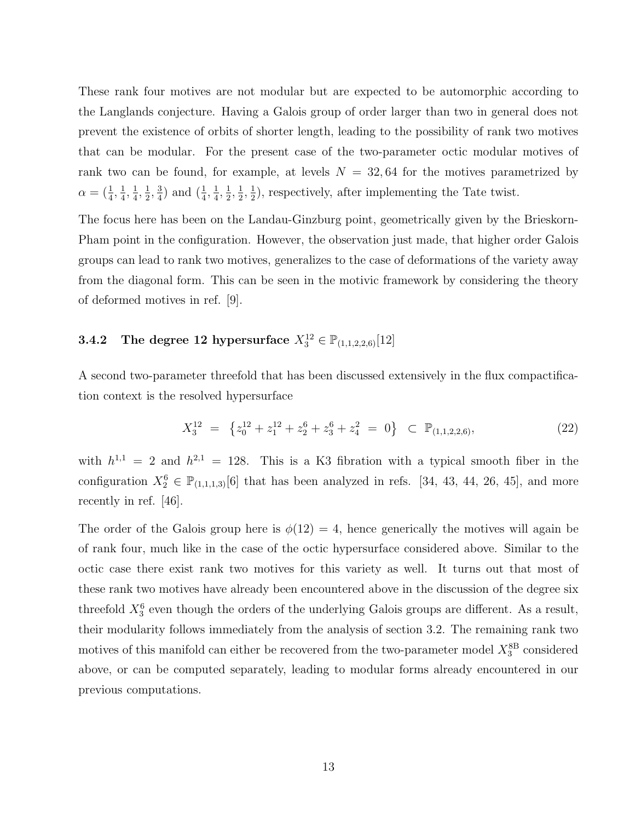These rank four motives are not modular but are expected to be automorphic according to the Langlands conjecture. Having a Galois group of order larger than two in general does not prevent the existence of orbits of shorter length, leading to the possibility of rank two motives that can be modular. For the present case of the two-parameter octic modular motives of rank two can be found, for example, at levels  $N = 32,64$  for the motives parametrized by  $\alpha = (\frac{1}{4}, \frac{1}{4})$  $\frac{1}{4}$ ,  $\frac{1}{4}$  $\frac{1}{4}$ ,  $\frac{1}{2}$  $\frac{1}{2}$ ,  $\frac{3}{4}$  $\frac{3}{4}$ ) and  $(\frac{1}{4}, \frac{1}{4})$  $\frac{1}{4}$ ,  $\frac{1}{2}$  $\frac{1}{2}, \frac{1}{2}$  $\frac{1}{2}, \frac{1}{2}$  $\frac{1}{2}$ , respectively, after implementing the Tate twist.

The focus here has been on the Landau-Ginzburg point, geometrically given by the Brieskorn-Pham point in the configuration. However, the observation just made, that higher order Galois groups can lead to rank two motives, generalizes to the case of deformations of the variety away from the diagonal form. This can be seen in the motivic framework by considering the theory of deformed motives in ref. [9].

#### **3.4.2** The degree 12 hypersurface  $X_3^{12} \in \mathbb{P}_{(1,1,2,2,6)}[12]$

A second two-parameter threefold that has been discussed extensively in the flux compactification context is the resolved hypersurface

$$
X_3^{12} = \left\{ z_0^{12} + z_1^{12} + z_2^6 + z_3^6 + z_4^2 = 0 \right\} \subset \mathbb{P}_{(1,1,2,2,6)},
$$
\n(22)

with  $h^{1,1} = 2$  and  $h^{2,1} = 128$ . This is a K3 fibration with a typical smooth fiber in the configuration  $X_2^6 \in \mathbb{P}_{(1,1,1,3)}[6]$  that has been analyzed in refs. [34, 43, 44, 26, 45], and more recently in ref. [46].

The order of the Galois group here is  $\phi(12) = 4$ , hence generically the motives will again be of rank four, much like in the case of the octic hypersurface considered above. Similar to the octic case there exist rank two motives for this variety as well. It turns out that most of these rank two motives have already been encountered above in the discussion of the degree six threefold  $X_3^6$  even though the orders of the underlying Galois groups are different. As a result, their modularity follows immediately from the analysis of section 3.2. The remaining rank two motives of this manifold can either be recovered from the two-parameter model  $X_3^8$ <sup>B</sup> considered above, or can be computed separately, leading to modular forms already encountered in our previous computations.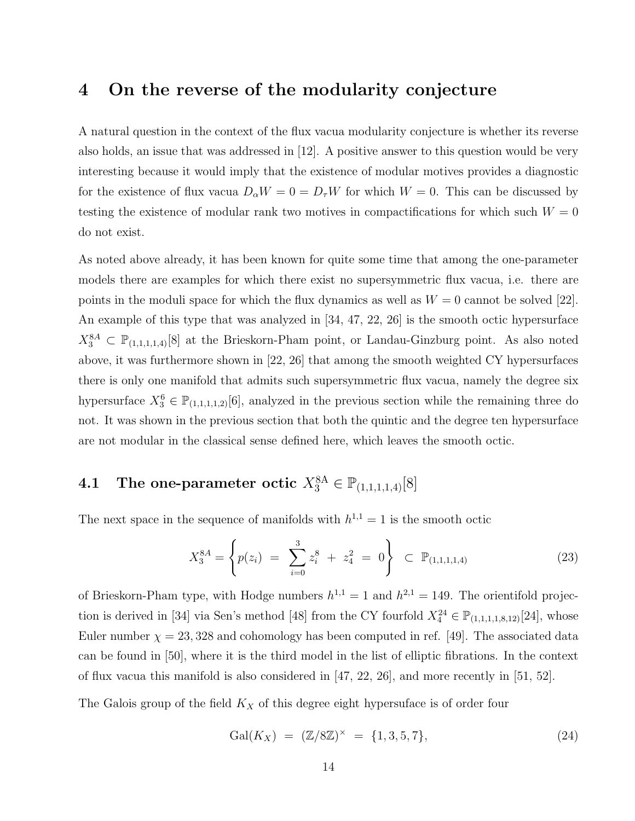### 4 On the reverse of the modularity conjecture

A natural question in the context of the flux vacua modularity conjecture is whether its reverse also holds, an issue that was addressed in [12]. A positive answer to this question would be very interesting because it would imply that the existence of modular motives provides a diagnostic for the existence of flux vacua  $D_{\alpha}W = 0 = D_{\tau}W$  for which  $W = 0$ . This can be discussed by testing the existence of modular rank two motives in compactifications for which such  $W = 0$ do not exist.

As noted above already, it has been known for quite some time that among the one-parameter models there are examples for which there exist no supersymmetric flux vacua, i.e. there are points in the moduli space for which the flux dynamics as well as  $W = 0$  cannot be solved [22]. An example of this type that was analyzed in [34, 47, 22, 26] is the smooth octic hypersurface  $X_3^{8A} \subset \mathbb{P}_{(1,1,1,1,4)}[8]$  at the Brieskorn-Pham point, or Landau-Ginzburg point. As also noted above, it was furthermore shown in [22, 26] that among the smooth weighted CY hypersurfaces there is only one manifold that admits such supersymmetric flux vacua, namely the degree six hypersurface  $X_3^6 \in \mathbb{P}_{(1,1,1,1,2)}[6]$ , analyzed in the previous section while the remaining three do not. It was shown in the previous section that both the quintic and the degree ten hypersurface are not modular in the classical sense defined here, which leaves the smooth octic.

# 4.1 The one-parameter octic  $X_3^8$ <sup>A</sup>  $\in \mathbb{P}_{(1,1,1,1,4)}[8]$

The next space in the sequence of manifolds with  $h^{1,1} = 1$  is the smooth octic

$$
X_3^{8A} = \left\{ p(z_i) = \sum_{i=0}^3 z_i^8 + z_4^2 = 0 \right\} \subset \mathbb{P}_{(1,1,1,1,4)}
$$
 (23)

of Brieskorn-Pham type, with Hodge numbers  $h^{1,1} = 1$  and  $h^{2,1} = 149$ . The orientifold projection is derived in [34] via Sen's method [48] from the CY fourfold  $X_4^{24} \in \mathbb{P}_{(1,1,1,1,8,12)}[24]$ , whose Euler number  $\chi = 23,328$  and cohomology has been computed in ref. [49]. The associated data can be found in [50], where it is the third model in the list of elliptic fibrations. In the context of flux vacua this manifold is also considered in  $[47, 22, 26]$ , and more recently in  $[51, 52]$ .

The Galois group of the field  $K_X$  of this degree eight hypersuface is of order four

$$
Gal(K_X) = (\mathbb{Z}/8\mathbb{Z})^{\times} = \{1, 3, 5, 7\},\tag{24}
$$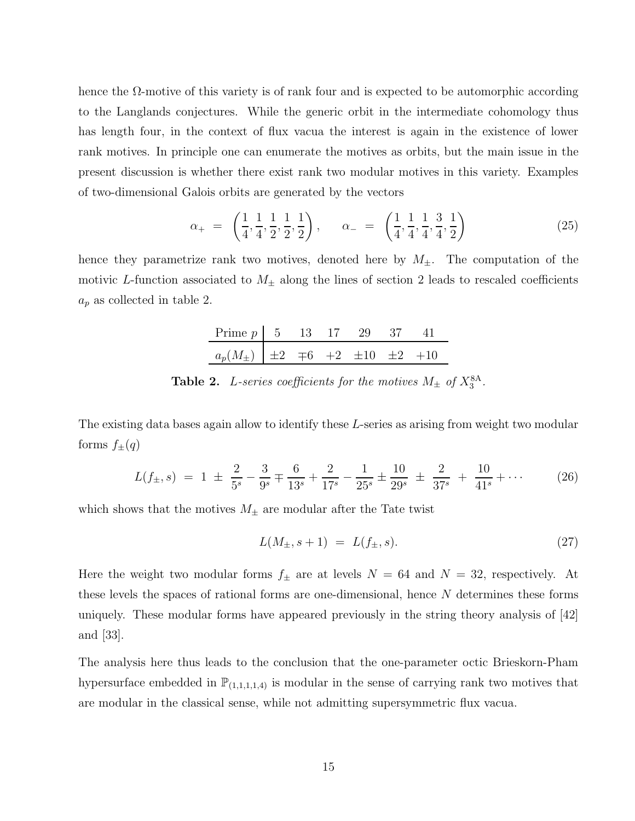hence the  $\Omega$ -motive of this variety is of rank four and is expected to be automorphic according to the Langlands conjectures. While the generic orbit in the intermediate cohomology thus has length four, in the context of flux vacua the interest is again in the existence of lower rank motives. In principle one can enumerate the motives as orbits, but the main issue in the present discussion is whether there exist rank two modular motives in this variety. Examples of two-dimensional Galois orbits are generated by the vectors

$$
\alpha_{+} = \left(\frac{1}{4}, \frac{1}{4}, \frac{1}{2}, \frac{1}{2}, \frac{1}{2}\right), \qquad \alpha_{-} = \left(\frac{1}{4}, \frac{1}{4}, \frac{1}{4}, \frac{3}{4}, \frac{1}{2}\right) \tag{25}
$$

hence they parametrize rank two motives, denoted here by  $M_{\pm}$ . The computation of the motivic L-function associated to  $M_{\pm}$  along the lines of section 2 leads to rescaled coefficients  $a_p$  as collected in table 2.

| Prime $p \mid 5 \quad 13 \quad 17 \quad 29$                      |  |  | - 37 |  |
|------------------------------------------------------------------|--|--|------|--|
| $a_p(M_{\pm})$ $\pm 2$ $\mp 6$ $\pm 2$ $\pm 10$ $\pm 2$ $\pm 10$ |  |  |      |  |

**Table 2.** L-series coefficients for the motives  $M_{\pm}$  of  $X_3^{8A}$ .

The existing data bases again allow to identify these L-series as arising from weight two modular forms  $f_{\pm}(q)$ 

$$
L(f_{\pm}, s) = 1 \pm \frac{2}{5^s} - \frac{3}{9^s} \mp \frac{6}{13^s} + \frac{2}{17^s} - \frac{1}{25^s} \pm \frac{10}{29^s} \pm \frac{2}{37^s} + \frac{10}{41^s} + \cdots
$$
 (26)

which shows that the motives  $M_{\pm}$  are modular after the Tate twist

$$
L(M_{\pm}, s+1) = L(f_{\pm}, s). \tag{27}
$$

Here the weight two modular forms  $f_{\pm}$  are at levels  $N = 64$  and  $N = 32$ , respectively. At these levels the spaces of rational forms are one-dimensional, hence N determines these forms uniquely. These modular forms have appeared previously in the string theory analysis of [42] and [33].

The analysis here thus leads to the conclusion that the one-parameter octic Brieskorn-Pham hypersurface embedded in  $\mathbb{P}_{(1,1,1,1,4)}$  is modular in the sense of carrying rank two motives that are modular in the classical sense, while not admitting supersymmetric flux vacua.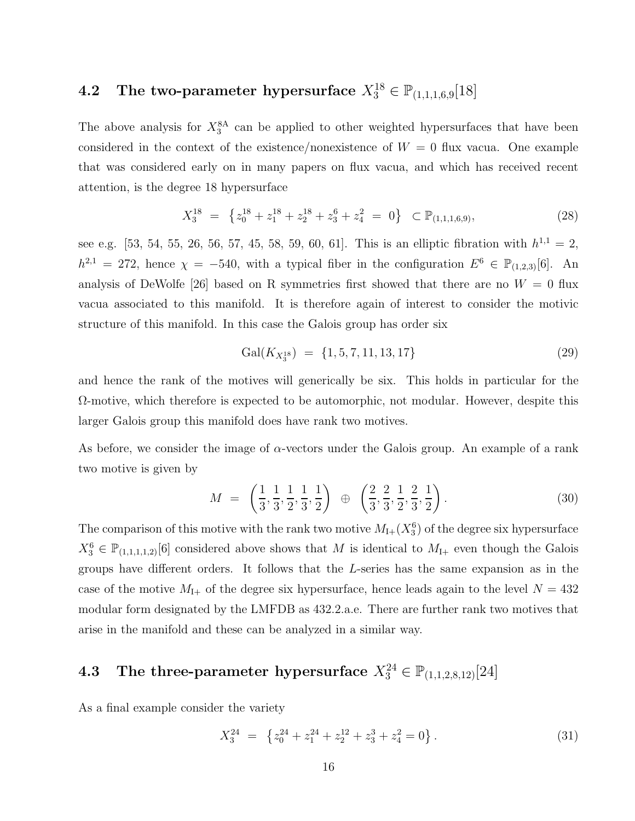# 4.2 The two-parameter hypersurface  $X_3^{18} \in \mathbb{P}_{(1,1,1,6,9}[18])$

The above analysis for  $X_3^8$  can be applied to other weighted hypersurfaces that have been considered in the context of the existence/nonexistence of  $W = 0$  flux vacua. One example that was considered early on in many papers on flux vacua, and which has received recent attention, is the degree 18 hypersurface

$$
X_3^{18} = \left\{ z_0^{18} + z_1^{18} + z_2^{18} + z_3^6 + z_4^2 = 0 \right\} \subset \mathbb{P}_{(1,1,1,6,9)},
$$
\n(28)

see e.g. [53, 54, 55, 26, 56, 57, 45, 58, 59, 60, 61]. This is an elliptic fibration with  $h^{1,1} = 2$ ,  $h^{2,1} = 272$ , hence  $\chi = -540$ , with a typical fiber in the configuration  $E^6 \in \mathbb{P}_{(1,2,3)}[6]$ . An analysis of DeWolfe [26] based on R symmetries first showed that there are no  $W = 0$  flux vacua associated to this manifold. It is therefore again of interest to consider the motivic structure of this manifold. In this case the Galois group has order six

$$
Gal(K_{X_3^{18}}) = \{1, 5, 7, 11, 13, 17\}
$$
\n(29)

and hence the rank of the motives will generically be six. This holds in particular for the Ω-motive, which therefore is expected to be automorphic, not modular. However, despite this larger Galois group this manifold does have rank two motives.

As before, we consider the image of  $\alpha$ -vectors under the Galois group. An example of a rank two motive is given by

$$
M = \left(\frac{1}{3}, \frac{1}{3}, \frac{1}{2}, \frac{1}{3}, \frac{1}{2}\right) \oplus \left(\frac{2}{3}, \frac{2}{3}, \frac{1}{2}, \frac{2}{3}, \frac{1}{2}\right).
$$
 (30)

The comparison of this motive with the rank two motive  $M_{1+}(X_3^6)$  of the degree six hypersurface  $X_3^6 \in \mathbb{P}_{(1,1,1,1,2)}[6]$  considered above shows that M is identical to  $M_{1+}$  even though the Galois groups have different orders. It follows that the L-series has the same expansion as in the case of the motive  $M_{\text{I+}}$  of the degree six hypersurface, hence leads again to the level  $N=432$ modular form designated by the LMFDB as 432.2.a.e. There are further rank two motives that arise in the manifold and these can be analyzed in a similar way.

# 4.3 The three-parameter hypersurface  $X_3^{24} \in \mathbb{P}_{(1,1,2,8,12)}[24]$

As a final example consider the variety

$$
X_3^{24} = \left\{ z_0^{24} + z_1^{24} + z_2^{12} + z_3^3 + z_4^2 = 0 \right\}.
$$
 (31)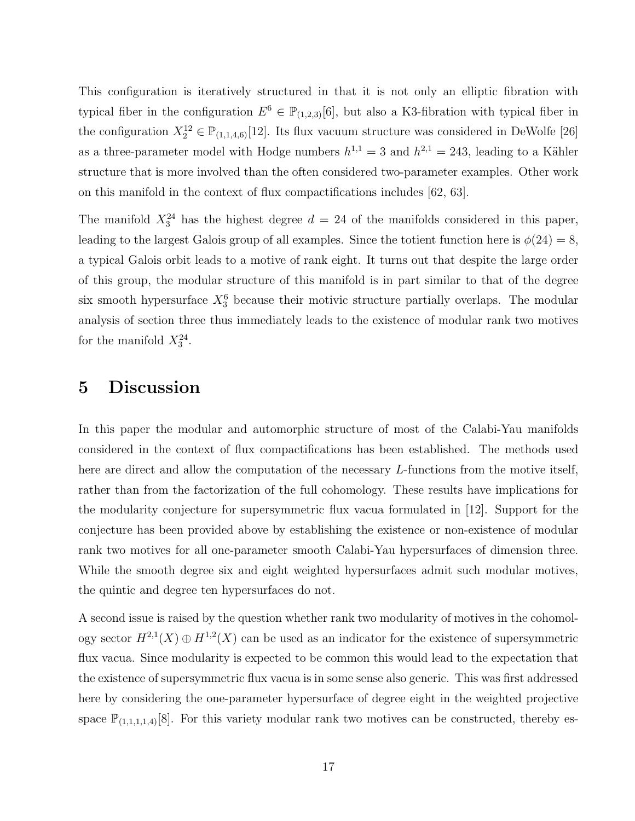This configuration is iteratively structured in that it is not only an elliptic fibration with typical fiber in the configuration  $E^6 \in \mathbb{P}_{(1,2,3)}[6]$ , but also a K3-fibration with typical fiber in the configuration  $X_2^{12} \in \mathbb{P}_{(1,1,4,6)}[12]$ . Its flux vacuum structure was considered in DeWolfe [26] as a three-parameter model with Hodge numbers  $h^{1,1} = 3$  and  $h^{2,1} = 243$ , leading to a Kähler structure that is more involved than the often considered two-parameter examples. Other work on this manifold in the context of flux compactifications includes [62, 63].

The manifold  $X_3^{24}$  has the highest degree  $d = 24$  of the manifolds considered in this paper, leading to the largest Galois group of all examples. Since the totient function here is  $\phi(24) = 8$ , a typical Galois orbit leads to a motive of rank eight. It turns out that despite the large order of this group, the modular structure of this manifold is in part similar to that of the degree six smooth hypersurface  $X_3^6$  because their motivic structure partially overlaps. The modular analysis of section three thus immediately leads to the existence of modular rank two motives for the manifold  $X_3^{24}$ .

#### 5 Discussion

In this paper the modular and automorphic structure of most of the Calabi-Yau manifolds considered in the context of flux compactifications has been established. The methods used here are direct and allow the computation of the necessary L-functions from the motive itself, rather than from the factorization of the full cohomology. These results have implications for the modularity conjecture for supersymmetric flux vacua formulated in [12]. Support for the conjecture has been provided above by establishing the existence or non-existence of modular rank two motives for all one-parameter smooth Calabi-Yau hypersurfaces of dimension three. While the smooth degree six and eight weighted hypersurfaces admit such modular motives, the quintic and degree ten hypersurfaces do not.

A second issue is raised by the question whether rank two modularity of motives in the cohomology sector  $H^{2,1}(X) \oplus H^{1,2}(X)$  can be used as an indicator for the existence of supersymmetric flux vacua. Since modularity is expected to be common this would lead to the expectation that the existence of supersymmetric flux vacua is in some sense also generic. This was first addressed here by considering the one-parameter hypersurface of degree eight in the weighted projective space  $\mathbb{P}_{(1,1,1,1,4)}[8]$ . For this variety modular rank two motives can be constructed, thereby es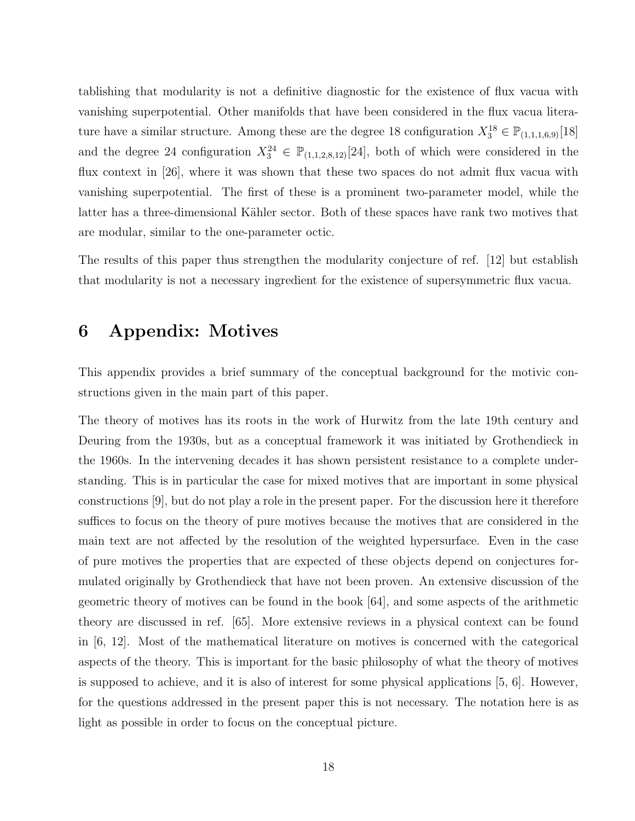tablishing that modularity is not a definitive diagnostic for the existence of flux vacua with vanishing superpotential. Other manifolds that have been considered in the flux vacua literature have a similar structure. Among these are the degree 18 configuration  $X_3^{18} \in \mathbb{P}_{(1,1,1,6,9)}[18]$ and the degree 24 configuration  $X_3^{24} \in \mathbb{P}_{(1,1,2,8,12)}[24]$ , both of which were considered in the flux context in [26], where it was shown that these two spaces do not admit flux vacua with vanishing superpotential. The first of these is a prominent two-parameter model, while the latter has a three-dimensional Kähler sector. Both of these spaces have rank two motives that are modular, similar to the one-parameter octic.

The results of this paper thus strengthen the modularity conjecture of ref. [12] but establish that modularity is not a necessary ingredient for the existence of supersymmetric flux vacua.

### 6 Appendix: Motives

This appendix provides a brief summary of the conceptual background for the motivic constructions given in the main part of this paper.

The theory of motives has its roots in the work of Hurwitz from the late 19th century and Deuring from the 1930s, but as a conceptual framework it was initiated by Grothendieck in the 1960s. In the intervening decades it has shown persistent resistance to a complete understanding. This is in particular the case for mixed motives that are important in some physical constructions [9], but do not play a role in the present paper. For the discussion here it therefore suffices to focus on the theory of pure motives because the motives that are considered in the main text are not affected by the resolution of the weighted hypersurface. Even in the case of pure motives the properties that are expected of these objects depend on conjectures formulated originally by Grothendieck that have not been proven. An extensive discussion of the geometric theory of motives can be found in the book [64], and some aspects of the arithmetic theory are discussed in ref. [65]. More extensive reviews in a physical context can be found in [6, 12]. Most of the mathematical literature on motives is concerned with the categorical aspects of the theory. This is important for the basic philosophy of what the theory of motives is supposed to achieve, and it is also of interest for some physical applications [5, 6]. However, for the questions addressed in the present paper this is not necessary. The notation here is as light as possible in order to focus on the conceptual picture.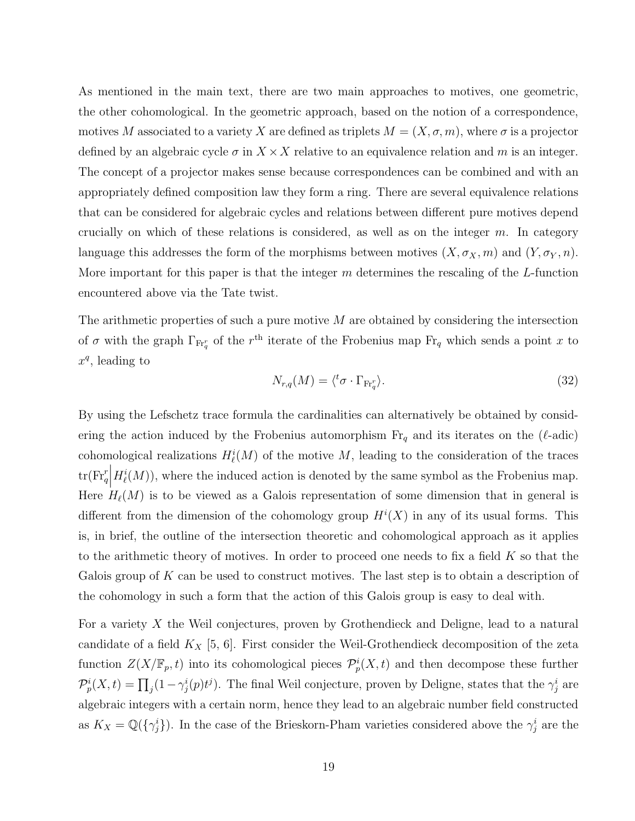As mentioned in the main text, there are two main approaches to motives, one geometric, the other cohomological. In the geometric approach, based on the notion of a correspondence, motives M associated to a variety X are defined as triplets  $M = (X, \sigma, m)$ , where  $\sigma$  is a projector defined by an algebraic cycle  $\sigma$  in  $X \times X$  relative to an equivalence relation and m is an integer. The concept of a projector makes sense because correspondences can be combined and with an appropriately defined composition law they form a ring. There are several equivalence relations that can be considered for algebraic cycles and relations between different pure motives depend crucially on which of these relations is considered, as well as on the integer  $m$ . In category language this addresses the form of the morphisms between motives  $(X, \sigma_X, m)$  and  $(Y, \sigma_Y, n)$ . More important for this paper is that the integer  $m$  determines the rescaling of the  $L$ -function encountered above via the Tate twist.

The arithmetic properties of such a pure motive  $M$  are obtained by considering the intersection of  $\sigma$  with the graph  $\Gamma_{\text{Fr}_q^r}$  of the r<sup>th</sup> iterate of the Frobenius map  $\text{Fr}_q$  which sends a point x to  $x^q$ , leading to

$$
N_{r,q}(M) = \langle {}^{t}\sigma \cdot \Gamma_{\mathrm{Fr}_{q}^{r}} \rangle. \tag{32}
$$

By using the Lefschetz trace formula the cardinalities can alternatively be obtained by considering the action induced by the Frobenius automorphism  $\mathrm{Fr}_q$  and its iterates on the ( $\ell$ -adic) cohomological realizations  $H^i_{\ell}(M)$  of the motive M, leading to the consideration of the traces  $\text{tr}(\text{Fr}_q^r)$  $H^i_{\ell}(M)$ , where the induced action is denoted by the same symbol as the Frobenius map. Here  $H_{\ell}(M)$  is to be viewed as a Galois representation of some dimension that in general is different from the dimension of the cohomology group  $H^{i}(X)$  in any of its usual forms. This is, in brief, the outline of the intersection theoretic and cohomological approach as it applies to the arithmetic theory of motives. In order to proceed one needs to fix a field  $K$  so that the Galois group of  $K$  can be used to construct motives. The last step is to obtain a description of the cohomology in such a form that the action of this Galois group is easy to deal with.

For a variety X the Weil conjectures, proven by Grothendieck and Deligne, lead to a natural candidate of a field  $K_X$  [5, 6]. First consider the Weil-Grothendieck decomposition of the zeta function  $Z(X/\mathbb{F}_p, t)$  into its cohomological pieces  $\mathcal{P}_p^i(X,t)$  and then decompose these further  $\mathcal{P}_p^i(X,t) = \prod_j (1 - \gamma_j^i(p)t^j)$ . The final Weil conjecture, proven by Deligne, states that the  $\gamma_j^i$  are algebraic integers with a certain norm, hence they lead to an algebraic number field constructed as  $K_X = \mathbb{Q}(\{\gamma_j^i\})$ . In the case of the Brieskorn-Pham varieties considered above the  $\gamma_j^i$  are the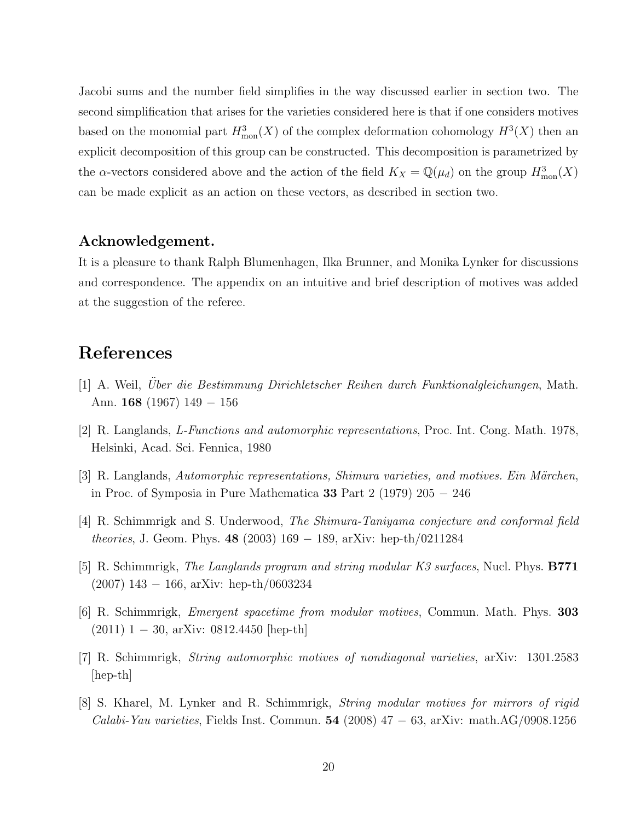Jacobi sums and the number field simplifies in the way discussed earlier in section two. The second simplification that arises for the varieties considered here is that if one considers motives based on the monomial part  $H_{\text{mon}}^3(X)$  of the complex deformation cohomology  $H^3(X)$  then an explicit decomposition of this group can be constructed. This decomposition is parametrized by the  $\alpha$ -vectors considered above and the action of the field  $K_X = \mathbb{Q}(\mu_d)$  on the group  $H_{\text{mon}}^3(X)$ can be made explicit as an action on these vectors, as described in section two.

#### Acknowledgement.

It is a pleasure to thank Ralph Blumenhagen, Ilka Brunner, and Monika Lynker for discussions and correspondence. The appendix on an intuitive and brief description of motives was added at the suggestion of the referee.

### References

- [1] A. Weil, Uber die Bestimmung Dirichletscher Reihen durch Funktionalgleichungen, Math. Ann. 168 (1967) 149 − 156
- [2] R. Langlands, L-Functions and automorphic representations, Proc. Int. Cong. Math. 1978, Helsinki, Acad. Sci. Fennica, 1980
- $[3]$  R. Langlands, Automorphic representations, Shimura varieties, and motives. Ein Märchen, in Proc. of Symposia in Pure Mathematica 33 Part 2 (1979) 205 − 246
- [4] R. Schimmrigk and S. Underwood, The Shimura-Taniyama conjecture and conformal field theories, J. Geom. Phys. 48 (2003) 169 − 189, arXiv: hep-th/0211284
- [5] R. Schimmrigk, *The Langlands program and string modular K3 surfaces*, Nucl. Phys. **B771** (2007) 143 − 166, arXiv: hep-th/0603234
- [6] R. Schimmrigk, Emergent spacetime from modular motives, Commun. Math. Phys. 303 (2011) 1 − 30, arXiv: 0812.4450 [hep-th]
- [7] R. Schimmrigk, String automorphic motives of nondiagonal varieties, arXiv: 1301.2583 [hep-th]
- [8] S. Kharel, M. Lynker and R. Schimmrigk, String modular motives for mirrors of rigid Calabi-Yau varieties, Fields Inst. Commun.  $54$  (2008)  $47 - 63$ , arXiv: math.AG/0908.1256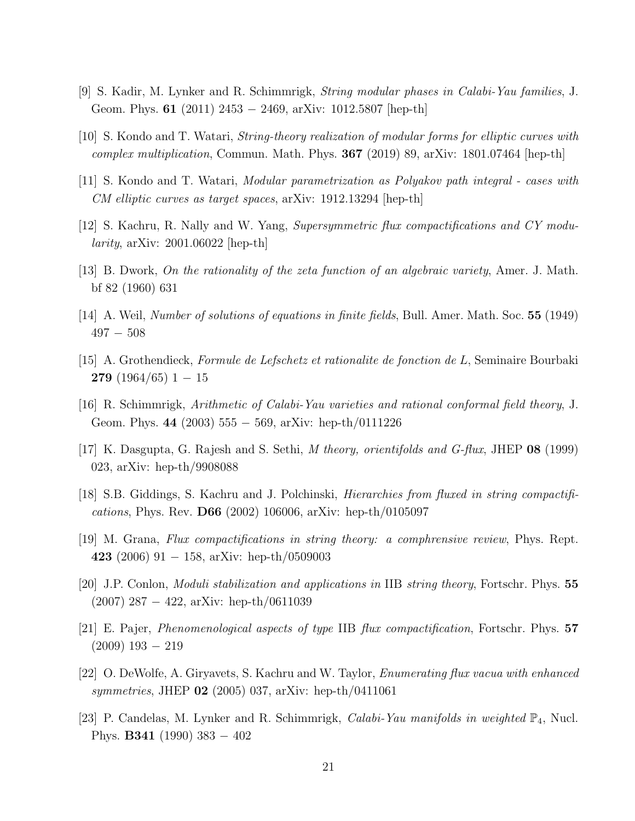- [9] S. Kadir, M. Lynker and R. Schimmrigk, String modular phases in Calabi-Yau families, J. Geom. Phys. 61 (2011) 2453 − 2469, arXiv: 1012.5807 [hep-th]
- [10] S. Kondo and T. Watari, String-theory realization of modular forms for elliptic curves with *complex multiplication*, Commun. Math. Phys. **367** (2019) 89, arXiv: 1801.07464 [hep-th]
- [11] S. Kondo and T. Watari, Modular parametrization as Polyakov path integral cases with CM elliptic curves as target spaces, arXiv: 1912.13294 [hep-th]
- [12] S. Kachru, R. Nally and W. Yang, Supersymmetric flux compactifications and CY modu*larity*, arXiv: 2001.06022 [hep-th]
- [13] B. Dwork, On the rationality of the zeta function of an algebraic variety, Amer. J. Math. bf 82 (1960) 631
- [14] A. Weil, Number of solutions of equations in finite fields, Bull. Amer. Math. Soc. 55 (1949)  $497 - 508$
- $[15]$  A. Grothendieck, Formule de Lefschetz et rationalite de fonction de L, Seminaire Bourbaki **279** (1964/65) 1 – 15
- [16] R. Schimmrigk, Arithmetic of Calabi-Yau varieties and rational conformal field theory, J. Geom. Phys. 44 (2003)  $555 - 569$ , arXiv: hep-th/0111226
- [17] K. Dasgupta, G. Rajesh and S. Sethi, M theory, orientifolds and G-flux, JHEP 08 (1999) 023, arXiv: hep-th/9908088
- [18] S.B. Giddings, S. Kachru and J. Polchinski, Hierarchies from fluxed in string compactifications, Phys. Rev. D66 (2002) 106006, arXiv: hep-th/0105097
- [19] M. Grana, Flux compactifications in string theory: a comphrensive review, Phys. Rept. 423 (2006) 91 – 158, arXiv: hep-th/0509003
- [20] J.P. Conlon, Moduli stabilization and applications in IIB string theory, Fortschr. Phys. 55 (2007) 287 − 422, arXiv: hep-th/0611039
- [21] E. Pajer, Phenomenological aspects of type IIB flux compactification, Fortschr. Phys. 57 (2009) 193 − 219
- [22] O. DeWolfe, A. Giryavets, S. Kachru and W. Taylor, Enumerating flux vacua with enhanced symmetries, JHEP 02 (2005) 037, arXiv: hep-th/0411061
- [23] P. Candelas, M. Lynker and R. Schimmrigk, *Calabi-Yau manifolds in weighted*  $\mathbb{P}_4$ , Nucl. Phys. B341 (1990) 383 − 402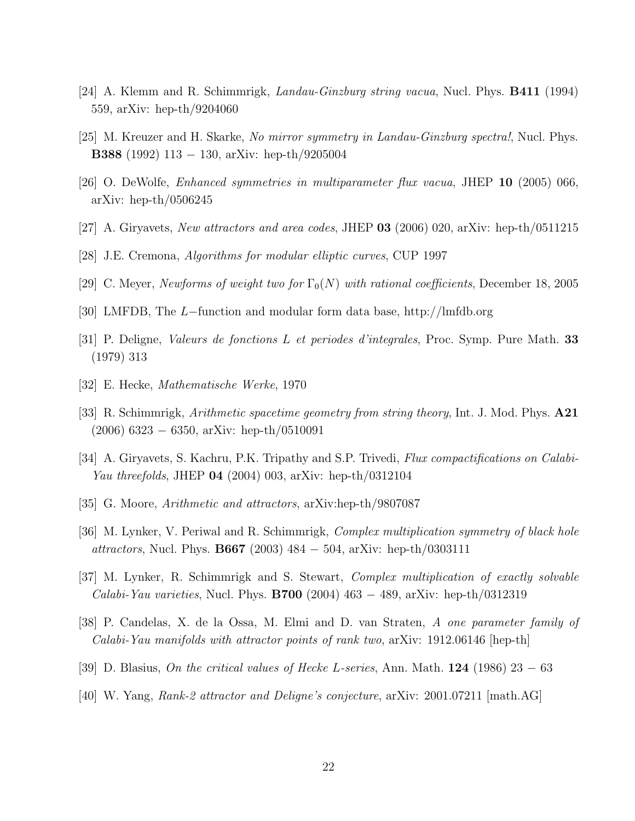- [24] A. Klemm and R. Schimmrigk, Landau-Ginzburg string vacua, Nucl. Phys. B411 (1994) 559, arXiv: hep-th/9204060
- [25] M. Kreuzer and H. Skarke, No mirror symmetry in Landau-Ginzburg spectra!, Nucl. Phys. B388 (1992) 113 − 130, arXiv: hep-th/9205004
- [26] O. DeWolfe, Enhanced symmetries in multiparameter flux vacua, JHEP 10 (2005) 066, arXiv: hep-th/0506245
- [27] A. Giryavets, New attractors and area codes, JHEP 03 (2006) 020, arXiv: hep-th/0511215
- [28] J.E. Cremona, Algorithms for modular elliptic curves, CUP 1997
- [29] C. Meyer, Newforms of weight two for  $\Gamma_0(N)$  with rational coefficients, December 18, 2005
- [30] LMFDB, The L−function and modular form data base, http://lmfdb.org
- [31] P. Deligne, Valeurs de fonctions L et periodes d'integrales, Proc. Symp. Pure Math. 33 (1979) 313
- [32] E. Hecke, Mathematische Werke, 1970
- [33] R. Schimmrigk, Arithmetic spacetime geometry from string theory, Int. J. Mod. Phys. A21 (2006) 6323 − 6350, arXiv: hep-th/0510091
- [34] A. Giryavets, S. Kachru, P.K. Tripathy and S.P. Trivedi, Flux compactifications on Calabi-Yau threefolds, JHEP **04** (2004) 003, arXiv: hep-th/0312104
- [35] G. Moore, Arithmetic and attractors, arXiv:hep-th/9807087
- [36] M. Lynker, V. Periwal and R. Schimmrigk, Complex multiplication symmetry of black hole attractors, Nucl. Phys. **B667** (2003)  $484 - 504$ , arXiv: hep-th/0303111
- [37] M. Lynker, R. Schimmrigk and S. Stewart, Complex multiplication of exactly solvable Calabi-Yau varieties, Nucl. Phys. **B700** (2004)  $463 - 489$ , arXiv: hep-th/0312319
- [38] P. Candelas, X. de la Ossa, M. Elmi and D. van Straten, A one parameter family of Calabi-Yau manifolds with attractor points of rank two, arXiv: 1912.06146 [hep-th]
- [39] D. Blasius, On the critical values of Hecke L-series, Ann. Math. 124 (1986) 23 63
- [40] W. Yang, Rank-2 attractor and Deligne's conjecture, arXiv: 2001.07211 [math.AG]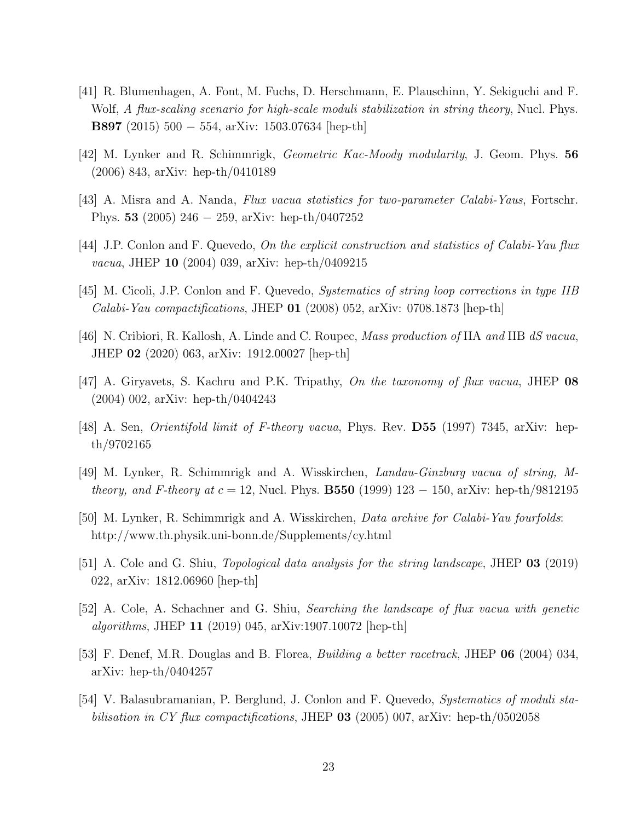- [41] R. Blumenhagen, A. Font, M. Fuchs, D. Herschmann, E. Plauschinn, Y. Sekiguchi and F. Wolf, A flux-scaling scenario for high-scale moduli stabilization in string theory, Nucl. Phys. B897 (2015) 500 − 554, arXiv: 1503.07634 [hep-th]
- [42] M. Lynker and R. Schimmrigk, Geometric Kac-Moody modularity, J. Geom. Phys. 56 (2006) 843, arXiv: hep-th/0410189
- [43] A. Misra and A. Nanda, Flux vacua statistics for two-parameter Calabi-Yaus, Fortschr. Phys. 53 (2005) 246 − 259, arXiv: hep-th/0407252
- [44] J.P. Conlon and F. Quevedo, On the explicit construction and statistics of Calabi-Yau flux vacua, JHEP 10 (2004) 039, arXiv: hep-th/0409215
- [45] M. Cicoli, J.P. Conlon and F. Quevedo, Systematics of string loop corrections in type IIB Calabi-Yau compactifications, JHEP  $01$  (2008) 052, arXiv: 0708.1873 [hep-th]
- [46] N. Cribiori, R. Kallosh, A. Linde and C. Roupec, *Mass production of* IIA and IIB dS vacua, JHEP 02 (2020) 063, arXiv: 1912.00027 [hep-th]
- [47] A. Giryavets, S. Kachru and P.K. Tripathy, On the taxonomy of flux vacua, JHEP 08 (2004) 002, arXiv: hep-th/0404243
- [48] A. Sen, Orientifold limit of F-theory vacua, Phys. Rev. D55 (1997) 7345, arXiv: hepth/9702165
- [49] M. Lynker, R. Schimmrigk and A. Wisskirchen, Landau-Ginzburg vacua of string, M*theory, and F-theory at c* = 12, Nucl. Phys. **B550** (1999) 123 – 150, arXiv: hep-th/9812195
- [50] M. Lynker, R. Schimmrigk and A. Wisskirchen, Data archive for Calabi-Yau fourfolds: http://www.th.physik.uni-bonn.de/Supplements/cy.html
- [51] A. Cole and G. Shiu, Topological data analysis for the string landscape, JHEP 03 (2019) 022, arXiv: 1812.06960 [hep-th]
- [52] A. Cole, A. Schachner and G. Shiu, Searching the landscape of flux vacua with genetic algorithms, JHEP 11 (2019) 045, arXiv:1907.10072 [hep-th]
- [53] F. Denef, M.R. Douglas and B. Florea, Building a better racetrack, JHEP 06 (2004) 034, arXiv: hep-th/0404257
- [54] V. Balasubramanian, P. Berglund, J. Conlon and F. Quevedo, Systematics of moduli stabilisation in CY flux compactifications, JHEP 03 (2005) 007, arXiv: hep-th/0502058